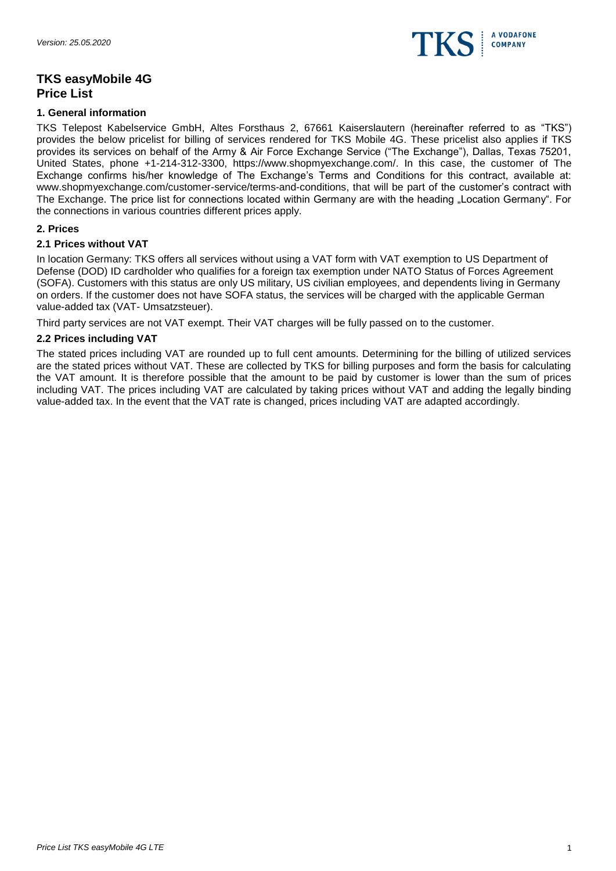

# **TKS easyMobile 4G Price List**

### **1. General information**

TKS Telepost Kabelservice GmbH, Altes Forsthaus 2, 67661 Kaiserslautern (hereinafter referred to as "TKS") provides the below pricelist for billing of services rendered for TKS Mobile 4G. These pricelist also applies if TKS provides its services on behalf of the Army & Air Force Exchange Service ("The Exchange"), Dallas, Texas 75201, United States, phone +1-214-312-3300, https://www.shopmyexchange.com/. In this case, the customer of The Exchange confirms his/her knowledge of The Exchange's Terms and Conditions for this contract, available at: www.shopmyexchange.com/customer-service/terms-and-conditions, that will be part of the customer's contract with The Exchange. The price list for connections located within Germany are with the heading "Location Germany". For the connections in various countries different prices apply.

### **2. Prices**

## **2.1 Prices without VAT**

In location Germany: TKS offers all services without using a VAT form with VAT exemption to US Department of Defense (DOD) ID cardholder who qualifies for a foreign tax exemption under NATO Status of Forces Agreement (SOFA). Customers with this status are only US military, US civilian employees, and dependents living in Germany on orders. If the customer does not have SOFA status, the services will be charged with the applicable German value-added tax (VAT- Umsatzsteuer).

Third party services are not VAT exempt. Their VAT charges will be fully passed on to the customer.

### **2.2 Prices including VAT**

The stated prices including VAT are rounded up to full cent amounts. Determining for the billing of utilized services are the stated prices without VAT. These are collected by TKS for billing purposes and form the basis for calculating the VAT amount. It is therefore possible that the amount to be paid by customer is lower than the sum of prices including VAT. The prices including VAT are calculated by taking prices without VAT and adding the legally binding value-added tax. In the event that the VAT rate is changed, prices including VAT are adapted accordingly.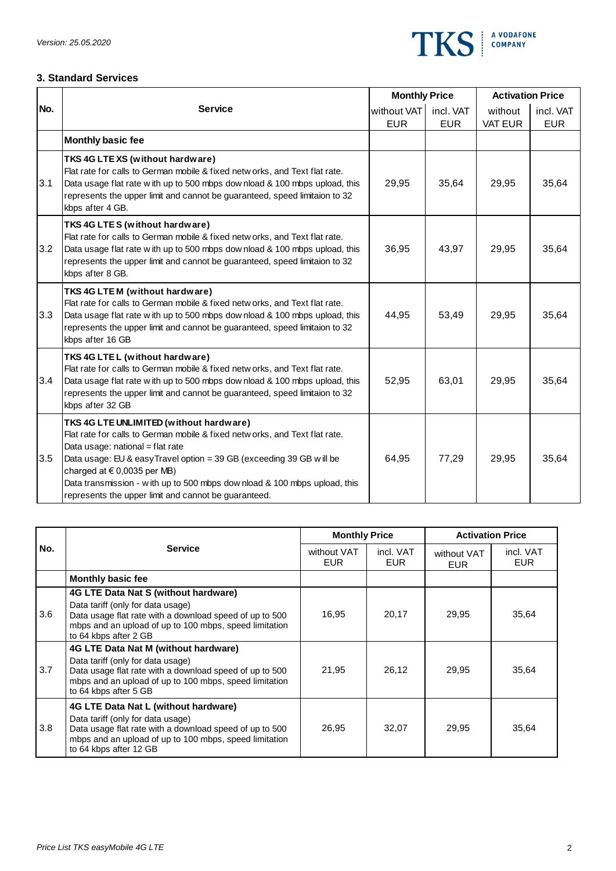

### **3. Standard Services**

|     |                                                                                                                                                                                                                                                                                                                                                                                                            | <b>Monthly Price</b> |            | <b>Activation Price</b> |            |
|-----|------------------------------------------------------------------------------------------------------------------------------------------------------------------------------------------------------------------------------------------------------------------------------------------------------------------------------------------------------------------------------------------------------------|----------------------|------------|-------------------------|------------|
| No. | <b>Service</b>                                                                                                                                                                                                                                                                                                                                                                                             | without VAT          | incl. VAT  | without                 | incl. VAT  |
|     |                                                                                                                                                                                                                                                                                                                                                                                                            | <b>EUR</b>           | <b>EUR</b> | <b>VAT EUR</b>          | <b>EUR</b> |
|     | Monthly basic fee                                                                                                                                                                                                                                                                                                                                                                                          |                      |            |                         |            |
| 3.1 | TKS 4G LTE XS (without hardware)<br>Flat rate for calls to German mobile & fixed netw orks, and Text flat rate.<br>Data usage flat rate with up to 500 mbps dow nload & 100 mbps upload, this<br>represents the upper limit and cannot be guaranteed, speed limitaion to 32<br>kbps after 4 GB.                                                                                                            | 29,95                | 35,64      | 29,95                   | 35,64      |
| 3.2 | TKS 4G LTES (without hardware)<br>Flat rate for calls to German mobile & fixed netw orks, and Text flat rate.<br>Data usage flat rate with up to 500 mbps download & 100 mbps upload, this<br>represents the upper limit and cannot be guaranteed, speed limitaion to 32<br>kbps after 8 GB.                                                                                                               | 36,95                | 43,97      | 29,95                   | 35,64      |
| 3.3 | TKS 4G LTEM (without hardware)<br>Flat rate for calls to German mobile & fixed netw orks, and Text flat rate.<br>Data usage flat rate with up to 500 mbps dow nload & 100 mbps upload, this<br>represents the upper limit and cannot be guaranteed, speed limitaion to 32<br>kbps after 16 GB                                                                                                              | 44,95                | 53,49      | 29,95                   | 35,64      |
| 3.4 | TKS 4G LTEL (without hardware)<br>Flat rate for calls to German mobile & fixed netw orks, and Text flat rate.<br>Data usage flat rate with up to 500 mbps download & 100 mbps upload, this<br>represents the upper limit and cannot be guaranteed, speed limitaion to 32<br>kbps after 32 GB                                                                                                               | 52,95                | 63,01      | 29,95                   | 35,64      |
| 3.5 | TKS 4G LTE UNLIMITED (without hardware)<br>Flat rate for calls to German mobile & fixed netw orks, and Text flat rate.<br>Data usage: national = flat rate<br>Data usage: EU & easyTravel option = 39 GB (exceeding 39 GB w ill be<br>charged at $\in$ 0,0035 per MB)<br>Data transmission - with up to 500 mbps dow nload & 100 mbps upload, this<br>represents the upper limit and cannot be guaranteed. | 64,95                | 77,29      | 29,95                   | 35,64      |

|     | <b>Service</b>                                                                                                                                                                                                           | <b>Monthly Price</b>      |                         | <b>Activation Price</b>   |                         |
|-----|--------------------------------------------------------------------------------------------------------------------------------------------------------------------------------------------------------------------------|---------------------------|-------------------------|---------------------------|-------------------------|
| No. |                                                                                                                                                                                                                          | without VAT<br><b>EUR</b> | incl. VAT<br><b>EUR</b> | without VAT<br><b>EUR</b> | incl. VAT<br><b>EUR</b> |
|     | <b>Monthly basic fee</b>                                                                                                                                                                                                 |                           |                         |                           |                         |
| 3.6 | 4G LTE Data Nat S (without hardware)<br>Data tariff (only for data usage)<br>Data usage flat rate with a download speed of up to 500<br>mbps and an upload of up to 100 mbps, speed limitation<br>to 64 kbps after 2 GB  | 16,95                     | 20,17                   | 29,95                     | 35,64                   |
| 3.7 | 4G LTE Data Nat M (without hardware)<br>Data tariff (only for data usage)<br>Data usage flat rate with a download speed of up to 500<br>mbps and an upload of up to 100 mbps, speed limitation<br>to 64 kbps after 5 GB  | 21,95                     | 26,12                   | 29,95                     | 35,64                   |
| 3.8 | 4G LTE Data Nat L (without hardware)<br>Data tariff (only for data usage)<br>Data usage flat rate with a download speed of up to 500<br>mbps and an upload of up to 100 mbps, speed limitation<br>to 64 kbps after 12 GB | 26,95                     | 32,07                   | 29,95                     | 35,64                   |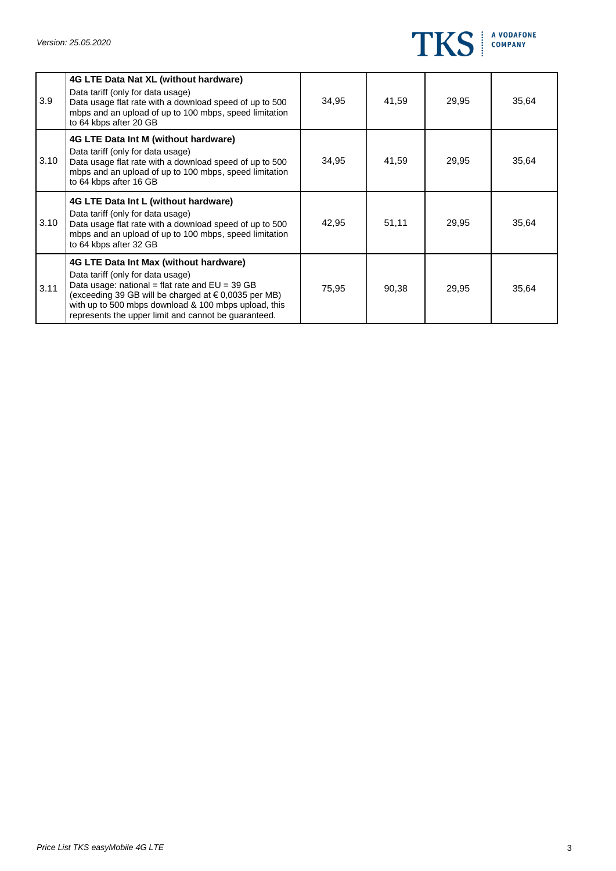

| 3.9  | 4G LTE Data Nat XL (without hardware)<br>Data tariff (only for data usage)<br>Data usage flat rate with a download speed of up to 500<br>mbps and an upload of up to 100 mbps, speed limitation                                                                                                          | 34,95 | 41,59 | 29,95 | 35,64 |
|------|----------------------------------------------------------------------------------------------------------------------------------------------------------------------------------------------------------------------------------------------------------------------------------------------------------|-------|-------|-------|-------|
| 3.10 | to 64 kbps after 20 GB<br>4G LTE Data Int M (without hardware)<br>Data tariff (only for data usage)<br>Data usage flat rate with a download speed of up to 500<br>mbps and an upload of up to 100 mbps, speed limitation<br>to 64 kbps after 16 GB                                                       | 34,95 | 41,59 | 29,95 | 35,64 |
| 3.10 | 4G LTE Data Int L (without hardware)<br>Data tariff (only for data usage)<br>Data usage flat rate with a download speed of up to 500<br>mbps and an upload of up to 100 mbps, speed limitation<br>to 64 kbps after 32 GB                                                                                 | 42,95 | 51,11 | 29,95 | 35,64 |
| 3.11 | 4G LTE Data Int Max (without hardware)<br>Data tariff (only for data usage)<br>Data usage: national = flat rate and $EU = 39 GB$<br>(exceeding 39 GB will be charged at € 0,0035 per MB)<br>with up to 500 mbps download & 100 mbps upload, this<br>represents the upper limit and cannot be guaranteed. | 75,95 | 90,38 | 29,95 | 35,64 |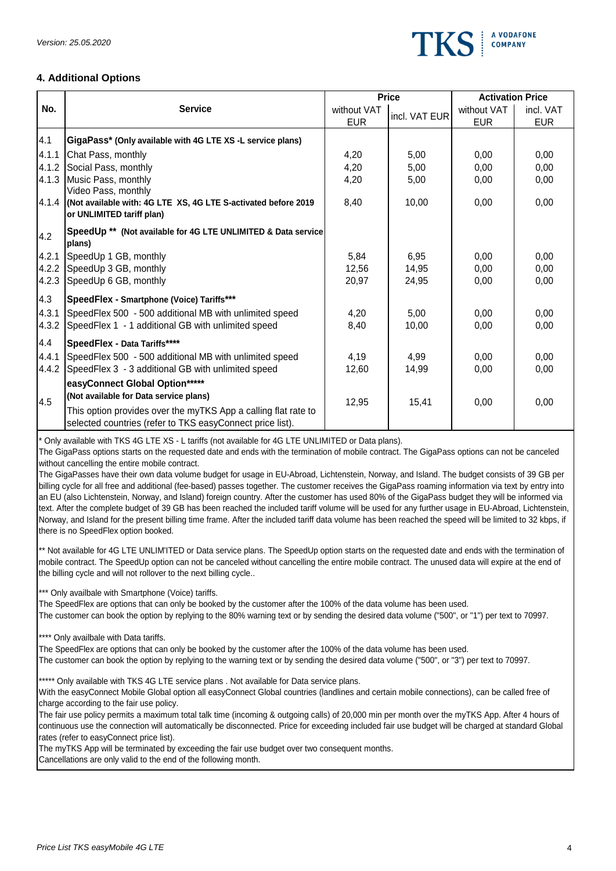

# **4. Additional Options**

|       |                                                                                                                             |             | <b>Price</b>  | <b>Activation Price</b> |            |  |  |  |
|-------|-----------------------------------------------------------------------------------------------------------------------------|-------------|---------------|-------------------------|------------|--|--|--|
| No.   | <b>Service</b>                                                                                                              | without VAT | incl. VAT EUR | without VAT             | incl. VAT  |  |  |  |
|       |                                                                                                                             | <b>EUR</b>  |               | <b>EUR</b>              | <b>EUR</b> |  |  |  |
| 4.1   | GigaPass* (Only available with 4G LTE XS -L service plans)                                                                  |             |               |                         |            |  |  |  |
| 4.1.1 | Chat Pass, monthly                                                                                                          | 4,20        | 5,00          | 0,00                    | 0.00       |  |  |  |
| 4.1.2 | Social Pass, monthly                                                                                                        | 4,20        | 5,00          | 0,00                    | 0,00       |  |  |  |
|       | 4.1.3 Music Pass, monthly                                                                                                   | 4,20        | 5,00          | 0,00                    | 0,00       |  |  |  |
|       | Video Pass, monthly<br>4.1.4 (Not available with: 4G LTE XS, 4G LTE S-activated before 2019<br>or UNLIMITED tariff plan)    | 8,40        | 10,00         | 0,00                    | 0,00       |  |  |  |
| 4.2   | SpeedUp ** (Not available for 4G LTE UNLIMITED & Data service<br>plans)                                                     |             |               |                         |            |  |  |  |
| 4.2.1 | SpeedUp 1 GB, monthly                                                                                                       | 5,84        | 6,95          | 0,00                    | 0.00       |  |  |  |
| 4.2.2 | SpeedUp 3 GB, monthly                                                                                                       | 12,56       | 14,95         | 0,00                    | 0,00       |  |  |  |
| 4.2.3 | SpeedUp 6 GB, monthly                                                                                                       | 20,97       | 24,95         | 0,00                    | 0,00       |  |  |  |
| 4.3   | SpeedFlex - Smartphone (Voice) Tariffs***                                                                                   |             |               |                         |            |  |  |  |
| 4.3.1 | SpeedFlex 500 - 500 additional MB with unlimited speed                                                                      | 4,20        | 5,00          | 0,00                    | 0,00       |  |  |  |
| 4.3.2 | SpeedFlex 1 - 1 additional GB with unlimited speed                                                                          | 8,40        | 10,00         | 0,00                    | 0,00       |  |  |  |
| 4.4   | SpeedFlex - Data Tariffs****                                                                                                |             |               |                         |            |  |  |  |
| 4.4.1 | SpeedFlex 500 - 500 additional MB with unlimited speed                                                                      | 4,19        | 4,99          | 0,00                    | 0,00       |  |  |  |
| 4.4.2 | SpeedFlex 3 - 3 additional GB with unlimited speed                                                                          | 12,60       | 14,99         | 0,00                    | 0,00       |  |  |  |
|       | easyConnect Global Option*****                                                                                              |             |               |                         |            |  |  |  |
| 4.5   | (Not available for Data service plans)                                                                                      | 12,95       | 15,41         | 0,00                    | 0,00       |  |  |  |
|       | This option provides over the myTKS App a calling flat rate to<br>selected countries (refer to TKS easyConnect price list). |             |               |                         |            |  |  |  |
|       | * Only available with TKS 4G LTE XS - L tariffs (not available for 4G LTE UNLIMITED or Data plans).                         |             |               |                         |            |  |  |  |

The GigaPass options starts on the requested date and ends with the termination of mobile contract. The GigaPass options can not be canceled without cancelling the entire mobile contract.

The GigaPasses have their own data volume budget for usage in EU-Abroad, Lichtenstein, Norway, and Island. The budget consists of 39 GB per billing cycle for all free and additional (fee-based) passes together. The customer receives the GigaPass roaming information via text by entry into an EU (also Lichtenstein, Norway, and Island) foreign country. After the customer has used 80% of the GigaPass budget they will be informed via text. After the complete budget of 39 GB has been reached the included tariff volume will be used for any further usage in EU-Abroad, Lichtenstein, Norway, and Island for the present billing time frame. After the included tariff data volume has been reached the speed will be limited to 32 kbps, if there is no SpeedFlex option booked.

\*\* Not available for 4G LTE UNLIM'ITED or Data service plans. The SpeedUp option starts on the requested date and ends with the termination of mobile contract. The SpeedUp option can not be canceled without cancelling the entire mobile contract. The unused data will expire at the end of the billing cycle and will not rollover to the next billing cycle..

\*\*\* Only availbale with Smartphone (Voice) tariffs.

The SpeedFlex are options that can only be booked by the customer after the 100% of the data volume has been used.

The customer can book the option by replying to the 80% warning text or by sending the desired data volume ("500", or "1") per text to 70997.

\*\*\*\* Only availbale with Data tariffs.

The SpeedFlex are options that can only be booked by the customer after the 100% of the data volume has been used.

The customer can book the option by replying to the warning text or by sending the desired data volume ("500", or "3") per text to 70997.

\*\*\*\*\* Only available with TKS 4G LTE service plans . Not available for Data service plans.

With the easyConnect Mobile Global option all easyConnect Global countries (landlines and certain mobile connections), can be called free of charge according to the fair use policy.

The fair use policy permits a maximum total talk time (incoming & outgoing calls) of 20,000 min per month over the myTKS App. After 4 hours of continuous use the connection will automatically be disconnected. Price for exceeding included fair use budget will be charged at standard Global rates (refer to easyConnect price list).

The myTKS App will be terminated by exceeding the fair use budget over two consequent months.

Cancellations are only valid to the end of the following month.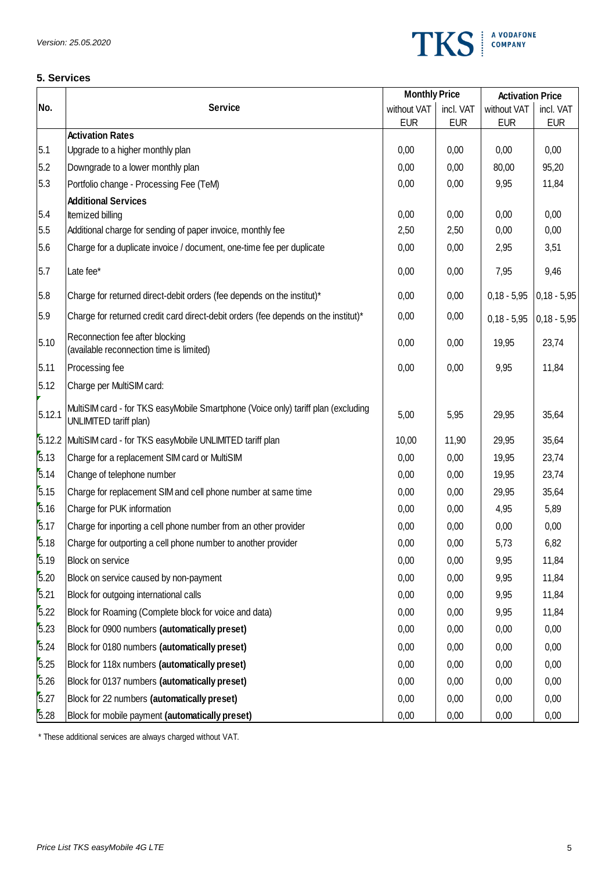

# **5. Services**

|        |                                                                                                             |             | <b>Monthly Price</b> |               | <b>Activation Price</b> |  |
|--------|-------------------------------------------------------------------------------------------------------------|-------------|----------------------|---------------|-------------------------|--|
| No.    | <b>Service</b>                                                                                              | without VAT | incl. VAT            | without VAT   | incl. VAT               |  |
|        | <b>Activation Rates</b>                                                                                     | <b>EUR</b>  | <b>EUR</b>           | <b>EUR</b>    | <b>EUR</b>              |  |
| 5.1    | Upgrade to a higher monthly plan                                                                            | 0,00        | 0,00                 | 0,00          | 0,00                    |  |
| 5.2    | Downgrade to a lower monthly plan                                                                           | 0,00        | 0,00                 | 80,00         | 95,20                   |  |
| 5.3    | Portfolio change - Processing Fee (TeM)                                                                     | 0,00        | 0,00                 | 9,95          | 11,84                   |  |
|        | <b>Additional Services</b>                                                                                  |             |                      |               |                         |  |
| 5.4    | Itemized billing                                                                                            | 0,00        | 0,00                 | 0,00          | 0,00                    |  |
| 5.5    | Additional charge for sending of paper invoice, monthly fee                                                 | 2,50        | 2,50                 | 0,00          | 0,00                    |  |
| 5.6    | Charge for a duplicate invoice / document, one-time fee per duplicate                                       | 0,00        | 0,00                 | 2,95          | 3,51                    |  |
| 5.7    | Late fee*                                                                                                   | 0,00        | 0,00                 | 7,95          | 9,46                    |  |
| 5.8    | Charge for returned direct-debit orders (fee depends on the institut)*                                      | 0,00        | 0,00                 | $0,18 - 5,95$ | $0,18 - 5,95$           |  |
| 5.9    | Charge for returned credit card direct-debit orders (fee depends on the institut)*                          | 0,00        | 0,00                 | $0,18 - 5,95$ | $0,18 - 5,95$           |  |
| 5.10   | Reconnection fee after blocking<br>(available reconnection time is limited)                                 | 0,00        | 0,00                 | 19,95         | 23,74                   |  |
| 5.11   | Processing fee                                                                                              | 0,00        | 0,00                 | 9,95          | 11,84                   |  |
| 5.12   | Charge per MultiSIM card:                                                                                   |             |                      |               |                         |  |
| 5.12.1 | MultiSIM card - for TKS easyMobile Smartphone (Voice only) tariff plan (excluding<br>UNLIMITED tariff plan) | 5,00        | 5,95                 | 29,95         | 35,64                   |  |
| 5.12.2 | MultiSIM card - for TKS easyMobile UNLIMITED tariff plan                                                    | 10,00       | 11,90                | 29,95         | 35,64                   |  |
| 5.13   | Charge for a replacement SIM card or MultiSIM                                                               | 0,00        | 0,00                 | 19,95         | 23,74                   |  |
| 5.14   | Change of telephone number                                                                                  | 0,00        | 0,00                 | 19,95         | 23,74                   |  |
| 5.15   | Charge for replacement SIM and cell phone number at same time                                               | 0,00        | 0,00                 | 29,95         | 35,64                   |  |
| 5.16   | Charge for PUK information                                                                                  | 0,00        | 0,00                 | 4,95          | 5,89                    |  |
| 5.17   | Charge for inporting a cell phone number from an other provider                                             | 0,00        | 0,00                 | 0,00          | 0,00                    |  |
| 5.18   | Charge for outporting a cell phone number to another provider                                               | 0,00        | 0,00                 | 5,73          | 6,82                    |  |
| 5.19   | Block on service                                                                                            | 0,00        | 0,00                 | 9,95          | 11,84                   |  |
| 5.20   | Block on service caused by non-payment                                                                      | 0,00        | 0,00                 | 9,95          | 11,84                   |  |
| 5.21   | Block for outgoing international calls                                                                      | 0,00        | 0,00                 | 9,95          | 11,84                   |  |
| 5.22   | Block for Roaming (Complete block for voice and data)                                                       | 0,00        | 0,00                 | 9,95          | 11,84                   |  |
| 5.23   | Block for 0900 numbers (automatically preset)                                                               | 0,00        | 0,00                 | 0,00          | 0,00                    |  |
| 5.24   | Block for 0180 numbers (automatically preset)                                                               | 0,00        | 0,00                 | 0,00          | 0,00                    |  |
| 5.25   | Block for 118x numbers (automatically preset)                                                               | 0,00        | 0,00                 | 0,00          | 0,00                    |  |
| 5.26   | Block for 0137 numbers (automatically preset)                                                               | 0,00        | 0,00                 | 0,00          | 0,00                    |  |
| 5.27   | Block for 22 numbers (automatically preset)                                                                 | 0,00        | 0,00                 | 0,00          | 0,00                    |  |
| 5.28   | Block for mobile payment (automatically preset)                                                             | 0,00        | 0,00                 | 0,00          | 0,00                    |  |

\* These additional services are always charged without VAT.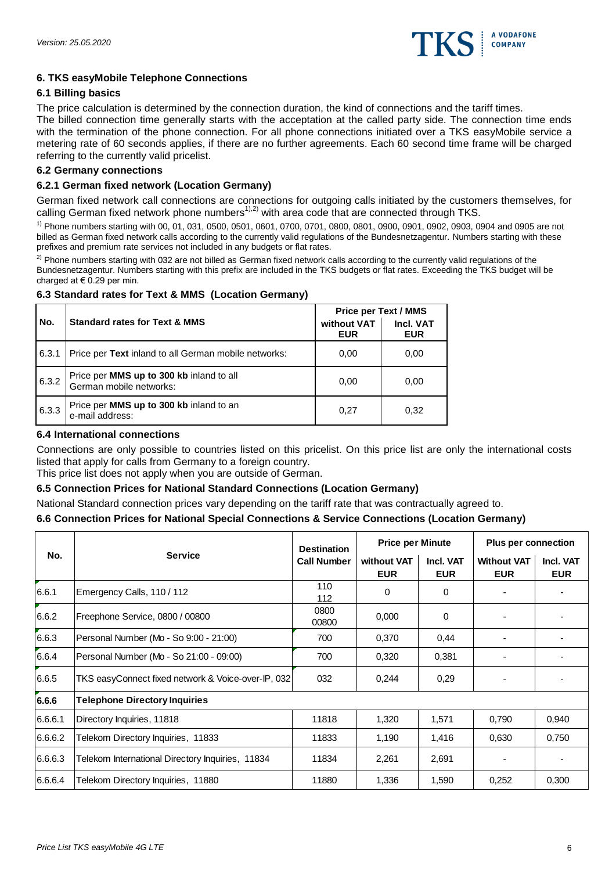

# **6. TKS easyMobile Telephone Connections**

# **6.1 Billing basics**

The price calculation is determined by the connection duration, the kind of connections and the tariff times.

The billed connection time generally starts with the acceptation at the called party side. The connection time ends with the termination of the phone connection. For all phone connections initiated over a TKS easyMobile service a metering rate of 60 seconds applies, if there are no further agreements. Each 60 second time frame will be charged referring to the currently valid pricelist.

## **6.2 Germany connections**

## **6.2.1 German fixed network (Location Germany)**

German fixed network call connections are connections for outgoing calls initiated by the customers themselves, for calling German fixed network phone numbers<sup>1),2)</sup> with area code that are connected through TKS.

1) Phone numbers starting with 00, 01, 031, 0500, 0501, 0601, 0700, 0701, 0800, 0801, 0900, 0901, 0902, 0903, 0904 and 0905 are not billed as German fixed network calls according to the currently valid regulations of the Bundesnetzagentur. Numbers starting with these prefixes and premium rate services not included in any budgets or flat rates.

 $^{2)}$  Phone numbers starting with 032 are not billed as German fixed network calls according to the currently valid regulations of the Bundesnetzagentur. Numbers starting with this prefix are included in the TKS budgets or flat rates. Exceeding the TKS budget will be charged at  $\epsilon$  0.29 per min.

# **6.3 Standard rates for Text & MMS (Location Germany)**

|       |                                                                     | <b>Price per Text / MMS</b> |                         |  |
|-------|---------------------------------------------------------------------|-----------------------------|-------------------------|--|
| No.   | <b>Standard rates for Text &amp; MMS</b>                            | without VAT<br><b>EUR</b>   | Incl. VAT<br><b>EUR</b> |  |
| 6.3.1 | Price per Text inland to all German mobile networks:                | 0,00                        | 0,00                    |  |
| 6.3.2 | Price per MMS up to 300 kb inland to all<br>German mobile networks: | 0.00                        | 0.00                    |  |
| 6.3.3 | Price per MMS up to 300 kb inland to an<br>e-mail address:          | 0,27                        | 0,32                    |  |

# **6.4 International connections**

Connections are only possible to countries listed on this pricelist. On this price list are only the international costs listed that apply for calls from Germany to a foreign country.

This price list does not apply when you are outside of German.

## **6.5 Connection Prices for National Standard Connections (Location Germany)**

National Standard connection prices vary depending on the tariff rate that was contractually agreed to.

#### **6.6 Connection Prices for National Special Connections & Service Connections (Location Germany)**

| No.     | <b>Service</b>                                     | <b>Destination</b> | <b>Price per Minute</b>   |                         | <b>Plus per connection</b>       |                         |
|---------|----------------------------------------------------|--------------------|---------------------------|-------------------------|----------------------------------|-------------------------|
|         |                                                    | <b>Call Number</b> | without VAT<br><b>EUR</b> | Incl. VAT<br><b>EUR</b> | <b>Without VAT</b><br><b>EUR</b> | Incl. VAT<br><b>EUR</b> |
| 6.6.1   | Emergency Calls, 110 / 112                         | 110<br>112         | 0                         | $\mathbf 0$             |                                  |                         |
| 6.6.2   | Freephone Service, 0800 / 00800                    | 0800<br>00800      | 0,000                     | 0                       |                                  |                         |
| 6.6.3   | Personal Number (Mo - So 9:00 - 21:00)             | 700                | 0,370                     | 0,44                    |                                  |                         |
| 6.6.4   | Personal Number (Mo - So 21:00 - 09:00)            | 700                | 0,320                     | 0,381                   |                                  |                         |
| 6.6.5   | TKS easyConnect fixed network & Voice-over-IP, 032 | 032                | 0,244                     | 0,29                    |                                  |                         |
| 6.6.6   | <b>Telephone Directory Inquiries</b>               |                    |                           |                         |                                  |                         |
| 6.6.6.1 | Directory Inquiries, 11818                         | 11818              | 1,320                     | 1,571                   | 0,790                            | 0,940                   |
| 6.6.6.2 | Telekom Directory Inquiries, 11833                 | 11833              | 1,190                     | 1,416                   | 0.630                            | 0,750                   |
| 6.6.6.3 | Telekom International Directory Inquiries, 11834   | 11834              | 2,261                     | 2,691                   |                                  |                         |
| 6.6.6.4 | Telekom Directory Inquiries, 11880                 | 11880              | 1,336                     | 1,590                   | 0,252                            | 0,300                   |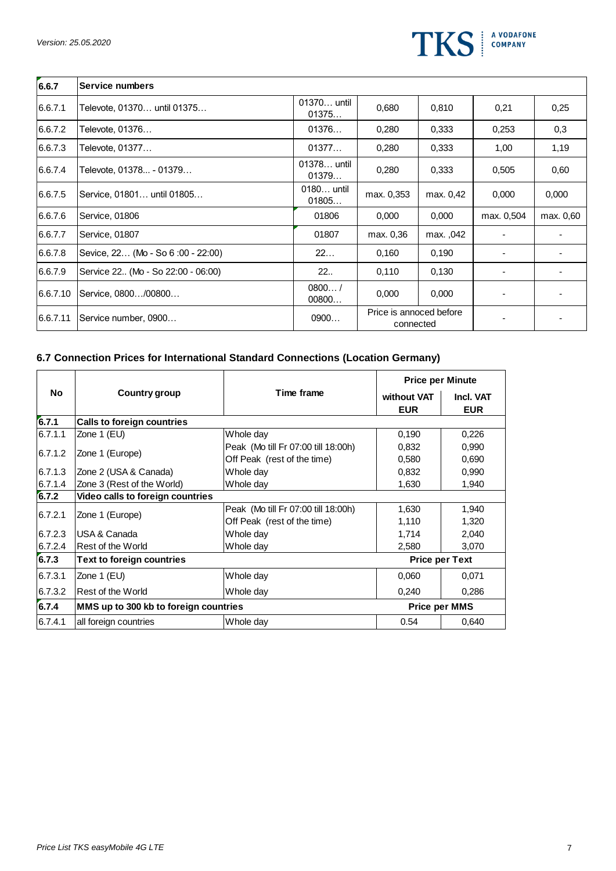

| 6.6.7    | Service numbers                    |                      |                                      |           |            |           |
|----------|------------------------------------|----------------------|--------------------------------------|-----------|------------|-----------|
| 6.6.7.1  | Televote, 01370 until 01375        | 01370 until<br>01375 | 0,680                                | 0,810     | 0,21       | 0,25      |
| 6.6.7.2  | Televote, 01376                    | 01376                | 0,280                                | 0,333     | 0,253      | 0,3       |
| 6.6.7.3  | Televote, 01377                    | 01377                | 0,280                                | 0.333     | 1,00       | 1,19      |
| 6.6.7.4  | Televote, 01378 - 01379            | 01378 until<br>01379 | 0,280                                | 0.333     | 0,505      | 0,60      |
| 6.6.7.5  | Service, 01801 until 01805         | 0180 until<br>01805  | max. 0,353                           | max. 0,42 | 0,000      | 0,000     |
| 6.6.7.6  | Service, 01806                     | 01806                | 0,000                                | 0,000     | max. 0,504 | max. 0,60 |
| 6.6.7.7  | Service, 01807                     | 01807                | max. 0,36                            | max. ,042 |            |           |
| 6.6.7.8  | Sevice, 22 (Mo - So 6:00 - 22:00)  | 22                   | 0,160                                | 0.190     |            |           |
| 6.6.7.9  | Service 22 (Mo - So 22:00 - 06:00) | 22                   | 0,110                                | 0.130     |            |           |
| 6.6.7.10 | Service, 0800/00800                | 0800/<br>00800       | 0,000                                | 0,000     |            |           |
| 6.6.7.11 | Service number, 0900               | 0900                 | Price is annoced before<br>connected |           |            |           |

# **6.7 Connection Prices for International Standard Connections (Location Germany)**

|         |                                       |                                     | <b>Price per Minute</b> |                         |
|---------|---------------------------------------|-------------------------------------|-------------------------|-------------------------|
| No      | Country group                         | Time frame<br>without VAT           |                         | Incl. VAT<br><b>EUR</b> |
| 6.7.1   | <b>Calls to foreign countries</b>     |                                     |                         |                         |
| 6.7.1.1 | Zone 1 (EU)                           | Whole day                           | 0,190                   | 0,226                   |
| 6.7.1.2 |                                       | Peak (Mo till Fr 07:00 till 18:00h) | 0,832                   | 0,990                   |
|         | Zone 1 (Europe)                       | Off Peak (rest of the time)         | 0,580                   | 0,690                   |
| 6.7.1.3 | Zone 2 (USA & Canada)                 | Whole day                           | 0,832                   | 0,990                   |
| 6.7.1.4 | Zone 3 (Rest of the World)            | Whole day                           | 1,630                   | 1,940                   |
| 6.7.2   | Video calls to foreign countries      |                                     |                         |                         |
| 6.7.2.1 |                                       | Peak (Mo till Fr 07:00 till 18:00h) | 1,630                   | 1,940                   |
|         | Zone 1 (Europe)                       | Off Peak (rest of the time)         | 1,110                   | 1,320                   |
| 6.7.2.3 | USA & Canada                          | Whole day                           | 1,714                   | 2,040                   |
| 6.7.2.4 | Rest of the World                     | Whole day                           | 2,580                   | 3,070                   |
| 6.7.3   | Text to foreign countries             |                                     |                         | <b>Price per Text</b>   |
| 6.7.3.1 | Zone 1 (EU)                           | Whole day                           | 0,060                   | 0,071                   |
| 6.7.3.2 | <b>Rest of the World</b>              | Whole day                           | 0,240                   | 0,286                   |
| 6.7.4   | MMS up to 300 kb to foreign countries |                                     | <b>Price per MMS</b>    |                         |
| 6.7.4.1 | all foreign countries                 | Whole day                           | 0.54                    | 0,640                   |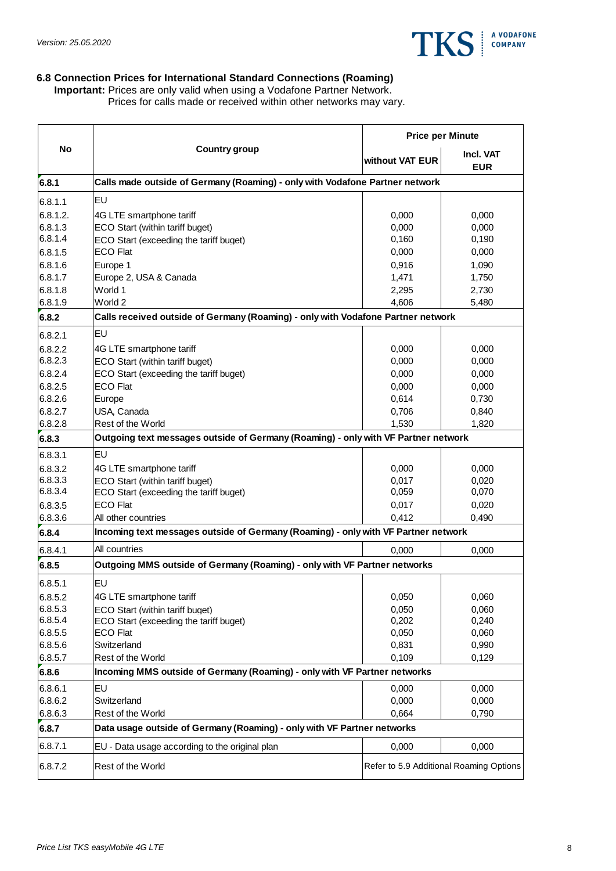

### **6.8 Connection Prices for International Standard Connections (Roaming)**

**Important:** Prices are only valid when using a Vodafone Partner Network. Prices for calls made or received within other networks may vary.

|                    |                                                                                    |                 | <b>Price per Minute</b>                 |
|--------------------|------------------------------------------------------------------------------------|-----------------|-----------------------------------------|
| <b>No</b>          | <b>Country group</b>                                                               | without VAT EUR | <b>Incl. VAT</b><br><b>EUR</b>          |
| 6.8.1              | Calls made outside of Germany (Roaming) - only with Vodafone Partner network       |                 |                                         |
| 6.8.1.1            | EU                                                                                 |                 |                                         |
| 6.8.1.2.           | 4G LTE smartphone tariff                                                           | 0,000           | 0,000                                   |
| 6.8.1.3            | ECO Start (within tariff buget)                                                    | 0,000           | 0,000                                   |
| 6.8.1.4            | ECO Start (exceeding the tariff buget)                                             | 0,160           | 0,190                                   |
| 6.8.1.5            | <b>ECO Flat</b>                                                                    | 0,000           | 0,000                                   |
| 6.8.1.6            | Europe 1                                                                           | 0,916           | 1,090                                   |
| 6.8.1.7            | Europe 2, USA & Canada                                                             | 1,471           | 1,750                                   |
| 6.8.1.8            | World 1                                                                            | 2,295           | 2,730                                   |
| 6.8.1.9            | World 2                                                                            | 4,606           | 5,480                                   |
| 6.8.2              | Calls received outside of Germany (Roaming) - only with Vodafone Partner network   |                 |                                         |
| 6.8.2.1            | EU                                                                                 |                 |                                         |
| 6.8.2.2            | 4G LTE smartphone tariff                                                           | 0,000           | 0,000                                   |
| 6.8.2.3            | ECO Start (within tariff buget)                                                    | 0,000           | 0.000                                   |
| 6.8.2.4            | ECO Start (exceeding the tariff buget)                                             | 0,000           | 0,000                                   |
| 6.8.2.5            | <b>ECO Flat</b>                                                                    | 0,000           | 0,000                                   |
| 6.8.2.6            | Europe                                                                             | 0,614           | 0,730                                   |
| 6.8.2.7            | USA, Canada                                                                        | 0,706           | 0,840                                   |
| 6.8.2.8            | Rest of the World                                                                  | 1,530           | 1,820                                   |
| 6.8.3              | Outgoing text messages outside of Germany (Roaming) - only with VF Partner network |                 |                                         |
| 6.8.3.1            | EU                                                                                 |                 |                                         |
| 6.8.3.2            | 4G LTE smartphone tariff                                                           | 0,000           | 0,000                                   |
| 6.8.3.3            | ECO Start (within tariff buget)                                                    | 0,017           | 0,020                                   |
| 6.8.3.4            | ECO Start (exceeding the tariff buget)                                             | 0,059           | 0,070                                   |
| 6.8.3.5            | <b>ECO Flat</b>                                                                    | 0,017           | 0,020                                   |
| 6.8.3.6            | All other countries                                                                | 0,412           | 0,490                                   |
| 6.8.4              | Incoming text messages outside of Germany (Roaming) - only with VF Partner network |                 |                                         |
| 6.8.4.1            | All countries                                                                      | 0,000           | 0,000                                   |
| 6.8.5              | Outgoing MMS outside of Germany (Roaming) - only with VF Partner networks          |                 |                                         |
| 6.8.5.1            | EU                                                                                 |                 |                                         |
| 6.8.5.2            | 4G LTE smartphone tariff                                                           | 0,050           | 0,060                                   |
| 6.8.5.3            | ECO Start (within tariff buget)                                                    | 0,050           | 0,060                                   |
| 6.8.5.4            | ECO Start (exceeding the tariff buget)                                             | 0,202           | 0,240                                   |
| 6.8.5.5            | <b>ECO Flat</b>                                                                    | 0,050           | 0,060                                   |
| 6.8.5.6<br>6.8.5.7 | Switzerland<br>Rest of the World                                                   | 0,831<br>0,109  | 0,990<br>0,129                          |
| 6.8.6              | Incoming MMS outside of Germany (Roaming) - only with VF Partner networks          |                 |                                         |
| 6.8.6.1            | EU                                                                                 | 0,000           | 0,000                                   |
| 6.8.6.2            | Switzerland                                                                        | 0,000           | 0,000                                   |
| 6.8.6.3            | Rest of the World                                                                  | 0,664           | 0,790                                   |
| 6.8.7              | Data usage outside of Germany (Roaming) - only with VF Partner networks            |                 |                                         |
| 6.8.7.1            | EU - Data usage according to the original plan                                     | 0,000           | 0,000                                   |
|                    |                                                                                    |                 |                                         |
| 6.8.7.2            | Rest of the World                                                                  |                 | Refer to 5.9 Additional Roaming Options |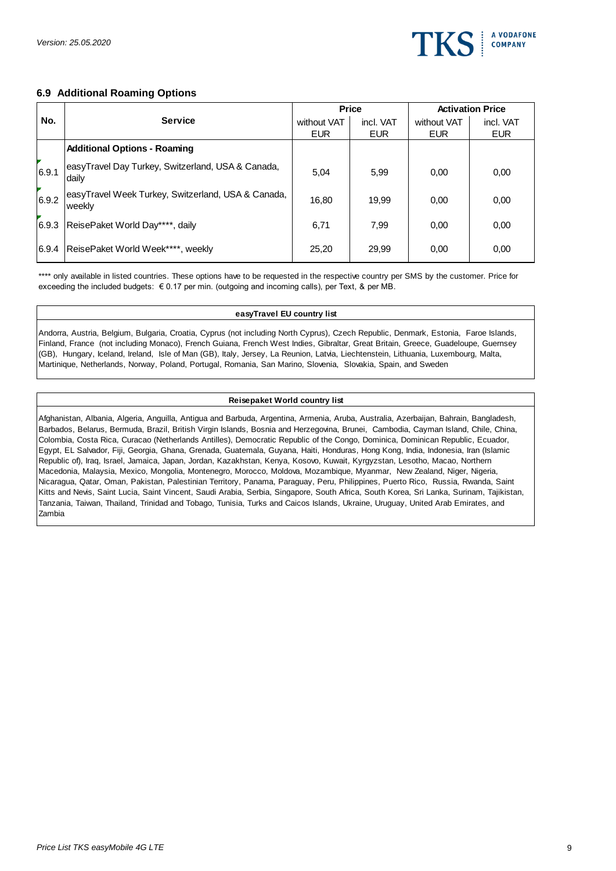

### **6.9 Additional Roaming Options**

|       |                                                               | <b>Price</b> |            | <b>Activation Price</b> |            |
|-------|---------------------------------------------------------------|--------------|------------|-------------------------|------------|
| No.   | <b>Service</b>                                                | without VAT  | incl. VAT  | without VAT             | incl. VAT  |
|       |                                                               | <b>EUR</b>   | <b>EUR</b> | <b>EUR</b>              | <b>EUR</b> |
|       | <b>Additional Options - Roaming</b>                           |              |            |                         |            |
| 6.9.1 | easyTravel Day Turkey, Switzerland, USA & Canada,<br>dailv    | 5,04         | 5,99       | 0,00                    | 0,00       |
| 6.9.2 | easyTravel Week Turkey, Switzerland, USA & Canada,<br>lweeklv | 16,80        | 19.99      | 0,00                    | 0,00       |
| 6.9.3 | ReisePaket World Day****, daily                               | 6,71         | 7.99       | 0,00                    | 0,00       |
| 6.9.4 | ReisePaket World Week****, weekly                             | 25,20        | 29,99      | 0,00                    | 0,00       |

\*\*\*\* only available in listed countries. These options have to be requested in the respective country per SMS by the customer. Price for exceeding the included budgets: € 0.17 per min. (outgoing and incoming calls), per Text, & per MB.

#### **easyTravel EU country list**

Andorra, Austria, Belgium, Bulgaria, Croatia, Cyprus (not including North Cyprus), Czech Republic, Denmark, Estonia, Faroe Islands, Finland, France (not including Monaco), French Guiana, French West Indies, Gibraltar, Great Britain, Greece, Guadeloupe, Guernsey (GB), Hungary, Iceland, Ireland, Isle of Man (GB), Italy, Jersey, La Reunion, Latvia, Liechtenstein, Lithuania, Luxembourg, Malta, Martinique, Netherlands, Norway, Poland, Portugal, Romania, San Marino, Slovenia, Slovakia, Spain, and Sweden

#### **Reisepaket World country list**

Afghanistan, Albania, Algeria, Anguilla, Antigua and Barbuda, Argentina, Armenia, Aruba, Australia, Azerbaijan, Bahrain, Bangladesh, Barbados, Belarus, Bermuda, Brazil, British Virgin Islands, Bosnia and Herzegovina, Brunei, Cambodia, Cayman Island, Chile, China, Colombia, Costa Rica, Curacao (Netherlands Antilles), Democratic Republic of the Congo, Dominica, Dominican Republic, Ecuador, Egypt, EL Salvador, Fiji, Georgia, Ghana, Grenada, Guatemala, Guyana, Haiti, Honduras, Hong Kong, India, Indonesia, Iran (Islamic Republic of), Iraq, Israel, Jamaica, Japan, Jordan, Kazakhstan, Kenya, Kosovo, Kuwait, Kyrgyzstan, Lesotho, Macao, Northern Macedonia, Malaysia, Mexico, Mongolia, Montenegro, Morocco, Moldova, Mozambique, Myanmar, New Zealand, Niger, Nigeria, Nicaragua, Qatar, Oman, Pakistan, Palestinian Territory, Panama, Paraguay, Peru, Philippines, Puerto Rico, Russia, Rwanda, Saint Kitts and Nevis, Saint Lucia, Saint Vincent, Saudi Arabia, Serbia, Singapore, South Africa, South Korea, Sri Lanka, Surinam, Tajikistan, Tanzania, Taiwan, Thailand, Trinidad and Tobago, Tunisia, Turks and Caicos Islands, Ukraine, Uruguay, United Arab Emirates, and Zambia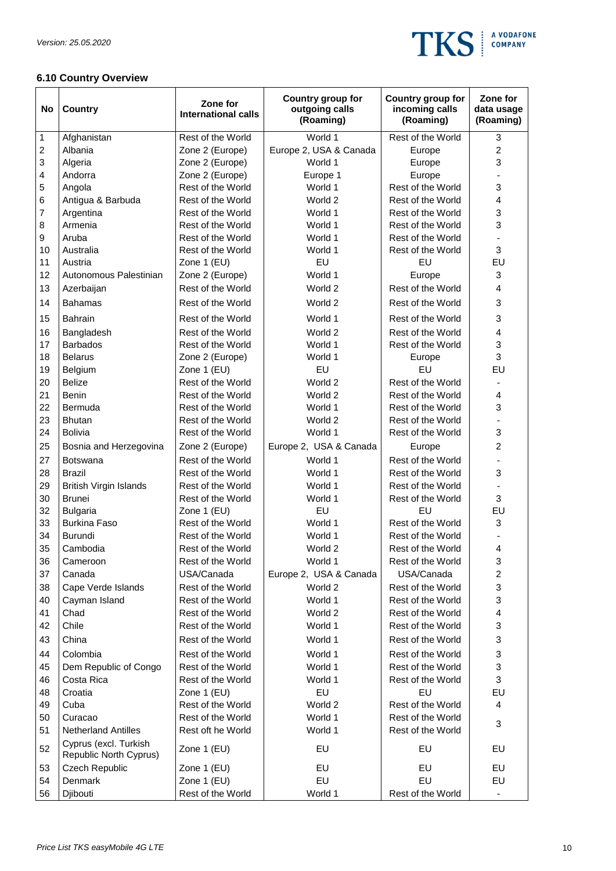

# **6.10 Country Overview**

| No | <b>Country</b>                                  | Zone for<br><b>International calls</b> | Country group for<br>outgoing calls<br>(Roaming) | Country group for<br>incoming calls<br>(Roaming) | Zone for<br>data usage<br>(Roaming) |
|----|-------------------------------------------------|----------------------------------------|--------------------------------------------------|--------------------------------------------------|-------------------------------------|
| 1  | Afghanistan                                     | Rest of the World                      | World 1                                          | Rest of the World                                | 3                                   |
| 2  | Albania                                         | Zone 2 (Europe)                        | Europe 2, USA & Canada                           | Europe                                           | $\overline{c}$                      |
| 3  | Algeria                                         | Zone 2 (Europe)                        | World 1                                          | Europe                                           | 3                                   |
| 4  | Andorra                                         | Zone 2 (Europe)                        | Europe 1                                         | Europe                                           |                                     |
| 5  | Angola                                          | Rest of the World                      | World 1                                          | Rest of the World                                | 3                                   |
| 6  | Antigua & Barbuda                               | Rest of the World                      | World 2                                          | Rest of the World                                | 4                                   |
| 7  | Argentina                                       | Rest of the World                      | World 1                                          | Rest of the World                                | 3                                   |
| 8  | Armenia                                         | Rest of the World                      | World 1                                          | Rest of the World                                | 3                                   |
| 9  | Aruba                                           | Rest of the World                      | World 1                                          | Rest of the World                                |                                     |
| 10 | Australia                                       | Rest of the World                      | World 1                                          | Rest of the World                                | 3                                   |
| 11 | Austria                                         | Zone 1 (EU)                            | EU                                               | EU                                               | EU                                  |
| 12 | Autonomous Palestinian                          | Zone 2 (Europe)                        | World 1                                          | Europe                                           | 3                                   |
| 13 | Azerbaijan                                      | Rest of the World                      | World 2                                          | Rest of the World                                | 4                                   |
| 14 | <b>Bahamas</b>                                  | Rest of the World                      | World 2                                          | Rest of the World                                | 3                                   |
| 15 | <b>Bahrain</b>                                  | Rest of the World                      | World 1                                          | Rest of the World                                | 3                                   |
| 16 | Bangladesh                                      | Rest of the World                      | World 2                                          | Rest of the World                                | $\overline{\mathbf{4}}$             |
| 17 | <b>Barbados</b>                                 | Rest of the World                      | World 1                                          | Rest of the World                                | 3                                   |
| 18 | <b>Belarus</b>                                  | Zone 2 (Europe)                        | World 1                                          | Europe                                           | 3                                   |
| 19 | Belgium                                         | Zone 1 (EU)                            | EU                                               | EU                                               | EU                                  |
| 20 | <b>Belize</b>                                   | Rest of the World                      | World 2                                          | Rest of the World                                |                                     |
| 21 | <b>Benin</b>                                    | Rest of the World                      | World 2                                          | Rest of the World                                | 4                                   |
| 22 | Bermuda                                         | Rest of the World                      | World 1                                          | Rest of the World                                | 3                                   |
| 23 | <b>Bhutan</b>                                   | Rest of the World                      | World 2                                          | Rest of the World                                |                                     |
| 24 | <b>Bolivia</b>                                  | Rest of the World                      | World 1                                          | Rest of the World                                | 3                                   |
| 25 | Bosnia and Herzegovina                          | Zone 2 (Europe)                        | Europe 2, USA & Canada                           | Europe                                           | $\overline{c}$                      |
| 27 | <b>Botswana</b>                                 | Rest of the World                      | World 1                                          | Rest of the World                                |                                     |
| 28 | <b>Brazil</b>                                   | Rest of the World                      | World 1                                          | Rest of the World                                | 3                                   |
| 29 | <b>British Virgin Islands</b>                   | Rest of the World                      | World 1                                          | Rest of the World                                |                                     |
| 30 | <b>Brunei</b>                                   | Rest of the World                      | World 1                                          | Rest of the World                                | 3                                   |
| 32 | <b>Bulgaria</b>                                 | Zone 1 (EU)                            | EU                                               | EU                                               | EU                                  |
| 33 | <b>Burkina Faso</b>                             | Rest of the World                      | World 1                                          | Rest of the World                                | 3                                   |
| 34 | <b>Burundi</b>                                  | Rest of the World                      | World 1                                          | Rest of the World                                |                                     |
| 35 | Cambodia                                        | Rest of the World                      | World 2                                          | Rest of the World                                | 4                                   |
| 36 | Cameroon                                        | Rest of the World                      | World 1                                          | Rest of the World                                | 3                                   |
| 37 | Canada                                          | USA/Canada                             | Europe 2, USA & Canada                           | USA/Canada                                       | $\overline{c}$<br>3                 |
| 38 | Cape Verde Islands                              | Rest of the World                      | World 2                                          | Rest of the World                                |                                     |
| 40 | Cayman Island                                   | Rest of the World                      | World 1                                          | Rest of the World                                | 3                                   |
| 41 | Chad                                            | Rest of the World                      | World 2                                          | Rest of the World                                | 4                                   |
| 42 | Chile                                           | Rest of the World                      | World 1                                          | Rest of the World                                | 3                                   |
| 43 | China                                           | Rest of the World                      | World 1                                          | Rest of the World                                | 3                                   |
| 44 | Colombia                                        | Rest of the World                      | World 1                                          | Rest of the World                                | 3                                   |
| 45 | Dem Republic of Congo                           | Rest of the World                      | World 1                                          | Rest of the World                                | 3                                   |
| 46 | Costa Rica                                      | Rest of the World                      | World 1                                          | Rest of the World                                | 3                                   |
| 48 | Croatia                                         | Zone 1 (EU)                            | EU                                               | EU                                               | EU                                  |
| 49 | Cuba                                            | Rest of the World                      | World 2                                          | Rest of the World                                | 4                                   |
| 50 | Curacao                                         | Rest of the World                      | World 1                                          | Rest of the World                                | 3                                   |
| 51 | <b>Netherland Antilles</b>                      | Rest oft he World                      | World 1                                          | Rest of the World                                |                                     |
| 52 | Cyprus (excl. Turkish<br>Republic North Cyprus) | Zone 1 (EU)                            | EU                                               | EU                                               | EU                                  |
| 53 | Czech Republic                                  | Zone 1 (EU)                            | EU                                               | EU                                               | EU                                  |
| 54 | Denmark                                         | Zone 1 (EU)                            | EU                                               | EU                                               | EU                                  |
| 56 | Djibouti                                        | Rest of the World                      | World 1                                          | Rest of the World                                | $\overline{\phantom{a}}$            |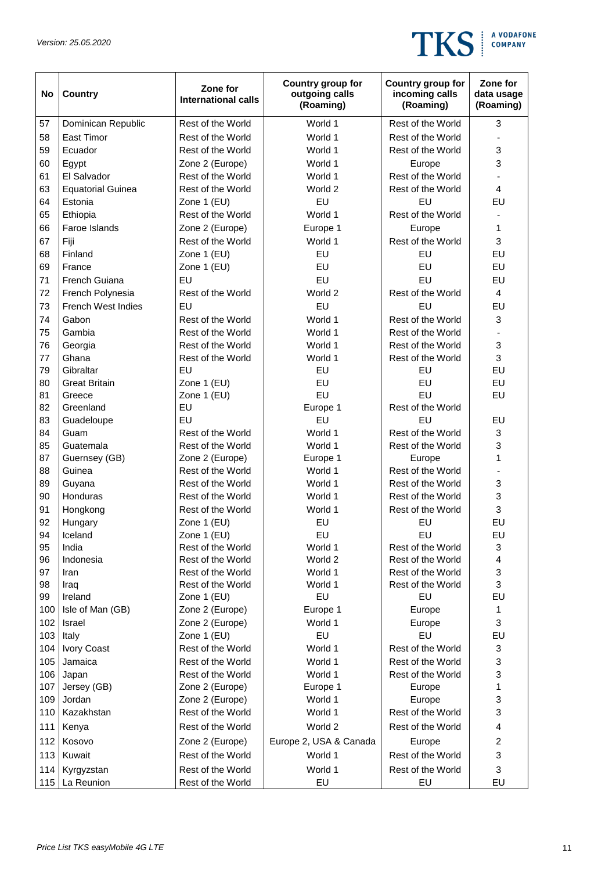

| No         | <b>Country</b>            | Zone for<br><b>International calls</b> | Country group for<br>outgoing calls<br>(Roaming) | Country group for<br>incoming calls<br>(Roaming) | Zone for<br>data usage<br>(Roaming) |
|------------|---------------------------|----------------------------------------|--------------------------------------------------|--------------------------------------------------|-------------------------------------|
| 57         | Dominican Republic        | Rest of the World                      | World 1                                          | Rest of the World                                | 3                                   |
| 58         | <b>East Timor</b>         | Rest of the World                      | World 1                                          | Rest of the World                                |                                     |
| 59         | Ecuador                   | Rest of the World                      | World 1                                          | Rest of the World                                | 3                                   |
| 60         | Egypt                     | Zone 2 (Europe)                        | World 1                                          | Europe                                           | 3                                   |
| 61         | El Salvador               | Rest of the World                      | World 1                                          | Rest of the World                                |                                     |
| 63         | <b>Equatorial Guinea</b>  | Rest of the World                      | World 2                                          | Rest of the World                                | $\overline{\mathbf{4}}$             |
| 64         | Estonia                   | Zone 1 (EU)                            | EU                                               | EU                                               | EU                                  |
| 65         | Ethiopia                  | Rest of the World                      | World 1                                          | Rest of the World                                |                                     |
| 66         | Faroe Islands             | Zone 2 (Europe)                        | Europe 1                                         | Europe                                           | 1                                   |
| 67         | Fiji                      | Rest of the World                      | World 1                                          | Rest of the World                                | 3                                   |
| 68         | Finland                   | Zone 1 (EU)                            | EU                                               | EU                                               | EU                                  |
| 69         | France                    | Zone 1 (EU)                            | EU                                               | EU                                               | EU                                  |
| 71         | French Guiana             | EU                                     | EU                                               | EU                                               | EU                                  |
| 72         | French Polynesia          | Rest of the World                      | World 2                                          | Rest of the World                                | 4                                   |
| 73         | <b>French West Indies</b> | EU                                     | EU                                               | EU                                               | EU                                  |
| 74         | Gabon                     | Rest of the World                      | World 1                                          | Rest of the World                                | 3                                   |
| 75         | Gambia                    | Rest of the World                      | World 1                                          | Rest of the World                                |                                     |
| 76         | Georgia                   | Rest of the World                      | World 1                                          | Rest of the World                                | 3                                   |
| 77         | Ghana                     | Rest of the World                      | World 1                                          | Rest of the World                                | 3                                   |
| 79         | Gibraltar                 | EU                                     | EU                                               | EU                                               | EU                                  |
| 80         | <b>Great Britain</b>      | Zone 1 (EU)                            | EU                                               | EU                                               | EU                                  |
| 81         | Greece                    | Zone 1 (EU)                            | EU                                               | EU                                               | EU                                  |
| 82         | Greenland                 | EU                                     | Europe 1                                         | Rest of the World                                |                                     |
| 83         | Guadeloupe                | EU                                     | EU                                               | EU                                               | EU                                  |
| 84         | Guam                      | Rest of the World                      | World 1                                          | Rest of the World                                | 3                                   |
| 85         | Guatemala                 | Rest of the World                      | World 1                                          | Rest of the World                                | 3                                   |
| 87         | Guernsey (GB)             | Zone 2 (Europe)                        | Europe 1                                         | Europe                                           | 1                                   |
| 88         | Guinea                    | Rest of the World                      | World 1                                          | Rest of the World                                |                                     |
| 89         | Guyana                    | Rest of the World                      | World 1                                          | Rest of the World                                | 3                                   |
| 90         | Honduras                  | Rest of the World                      | World 1                                          | Rest of the World                                | 3                                   |
| 91         | Hongkong                  | Rest of the World                      | World 1                                          | Rest of the World                                | 3                                   |
| 92         | Hungary                   | Zone 1 (EU)                            | EU                                               | EU                                               | EU                                  |
| 94         | Iceland                   | Zone 1 (EU)                            | EU                                               | EU                                               | EU                                  |
| 95         | India                     | Rest of the World                      | World 1                                          | Rest of the World                                | 3                                   |
| 96         | Indonesia                 | Rest of the World                      | World 2                                          | Rest of the World                                | $\overline{\mathbf{4}}$             |
| 97         | Iran                      | Rest of the World                      | World 1                                          | Rest of the World                                | 3                                   |
| 98         | Iraq                      | Rest of the World                      | World 1                                          | Rest of the World                                | 3                                   |
| 99         | Ireland                   | Zone 1 (EU)                            | EU                                               | EU                                               | EU                                  |
| 100        | Isle of Man (GB)          | Zone 2 (Europe)                        | Europe 1                                         | Europe                                           | 1                                   |
| 102        | Israel                    | Zone 2 (Europe)                        | World 1                                          | Europe                                           | $\sqrt{3}$                          |
| 103        | Italy                     | Zone 1 (EU)                            | EU                                               | EU                                               | EU                                  |
| 104        | Ivory Coast               | Rest of the World                      | World 1                                          | Rest of the World                                | 3                                   |
| 105        | Jamaica                   | Rest of the World                      | World 1                                          | Rest of the World                                | 3                                   |
| 106        | Japan                     | Rest of the World                      | World 1                                          | Rest of the World                                | 3                                   |
| 107        | Jersey (GB)               | Zone 2 (Europe)                        | Europe 1                                         | Europe                                           | 1                                   |
| 109        | Jordan                    | Zone 2 (Europe)                        | World 1                                          | Europe                                           | 3                                   |
| 110        | Kazakhstan                | Rest of the World<br>Rest of the World | World 1                                          | Rest of the World                                | 3                                   |
| 111        | Kenya                     |                                        | World 2                                          | Rest of the World                                | 4                                   |
| 112<br>113 | Kosovo<br>Kuwait          | Zone 2 (Europe)<br>Rest of the World   | Europe 2, USA & Canada<br>World 1                | Europe<br>Rest of the World                      | $\overline{c}$<br>3                 |
|            |                           |                                        |                                                  |                                                  |                                     |
| 114<br>115 | Kyrgyzstan<br>La Reunion  | Rest of the World<br>Rest of the World | World 1<br>EU                                    | Rest of the World<br>EU                          | 3<br>EU                             |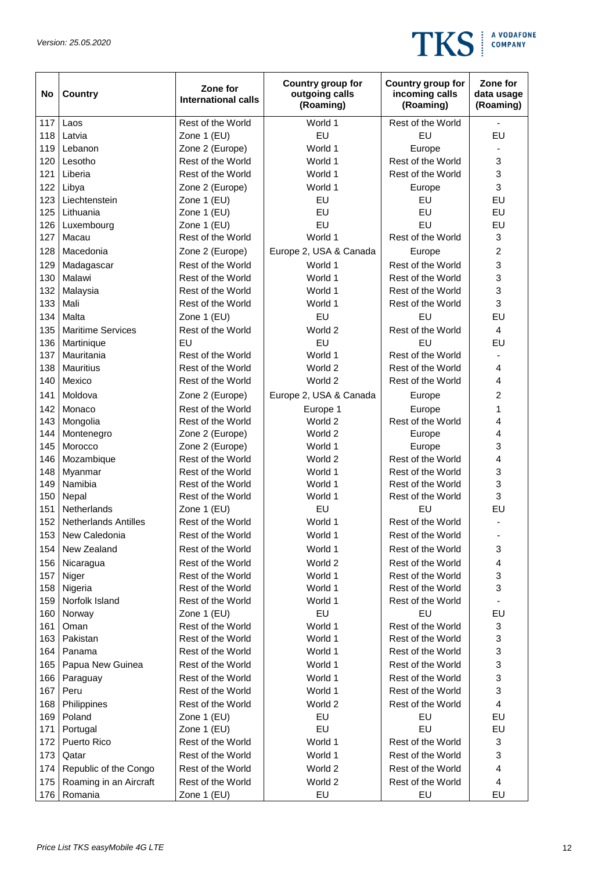

| No  | <b>Country</b>              | Zone for<br><b>International calls</b> | Country group for<br>outgoing calls<br>(Roaming) | Country group for<br>incoming calls<br>(Roaming) | Zone for<br>data usage<br>(Roaming) |
|-----|-----------------------------|----------------------------------------|--------------------------------------------------|--------------------------------------------------|-------------------------------------|
| 117 | Laos                        | Rest of the World                      | World 1                                          | Rest of the World                                | $\blacksquare$                      |
| 118 | Latvia                      | Zone 1 (EU)                            | EU                                               | EU                                               | EU                                  |
| 119 | Lebanon                     | Zone 2 (Europe)                        | World 1                                          | Europe                                           |                                     |
| 120 | Lesotho                     | Rest of the World                      | World 1                                          | Rest of the World                                | 3                                   |
| 121 | Liberia                     | Rest of the World                      | World 1                                          | Rest of the World                                | 3                                   |
| 122 | Libya                       | Zone 2 (Europe)                        | World 1                                          | Europe                                           | 3                                   |
| 123 | Liechtenstein               | Zone 1 (EU)                            | EU                                               | EU                                               | EU                                  |
| 125 | Lithuania                   | Zone 1 (EU)                            | EU                                               | EU                                               | EU                                  |
| 126 | Luxembourg                  | Zone 1 (EU)                            | EU                                               | EU                                               | EU                                  |
| 127 | Macau                       | Rest of the World                      | World 1                                          | Rest of the World                                | 3                                   |
| 128 | Macedonia                   | Zone 2 (Europe)                        | Europe 2, USA & Canada                           | Europe                                           | $\overline{c}$                      |
| 129 | Madagascar                  | Rest of the World                      | World 1                                          | Rest of the World                                | 3                                   |
| 130 | Malawi                      | Rest of the World                      | World 1                                          | Rest of the World                                | 3                                   |
| 132 | Malaysia                    | Rest of the World                      | World 1                                          | Rest of the World                                | 3                                   |
| 133 | Mali                        | Rest of the World                      | World 1                                          | Rest of the World                                | 3                                   |
| 134 | Malta                       | Zone 1 (EU)                            | EU                                               | EU                                               | EU                                  |
| 135 | <b>Maritime Services</b>    | Rest of the World                      | World 2                                          | Rest of the World                                | $\overline{4}$                      |
| 136 | Martinique                  | EU                                     | EU                                               | EU                                               | EU                                  |
| 137 | Mauritania                  | Rest of the World                      | World 1                                          | Rest of the World                                |                                     |
| 138 | <b>Mauritius</b>            | Rest of the World                      | World 2                                          | Rest of the World                                | 4                                   |
| 140 | Mexico                      | Rest of the World                      | World 2                                          | Rest of the World                                | 4                                   |
| 141 | Moldova                     | Zone 2 (Europe)                        | Europe 2, USA & Canada                           | Europe                                           | $\overline{c}$                      |
| 142 | Monaco                      | Rest of the World                      | Europe 1                                         | Europe                                           | 1                                   |
| 143 | Mongolia                    | Rest of the World                      | World 2                                          | Rest of the World                                | 4                                   |
| 144 | Montenegro                  | Zone 2 (Europe)                        | World 2                                          | Europe                                           | 4                                   |
| 145 | Morocco                     | Zone 2 (Europe)                        | World 1                                          | Europe                                           | 3                                   |
| 146 | Mozambique                  | Rest of the World                      | World 2                                          | Rest of the World                                | 4                                   |
| 148 | Myanmar                     | Rest of the World                      | World 1                                          | Rest of the World                                | 3                                   |
| 149 | Namibia                     | Rest of the World                      | World 1                                          | Rest of the World                                | 3                                   |
| 150 | Nepal                       | Rest of the World                      | World 1                                          | Rest of the World                                | 3                                   |
| 151 | Netherlands                 | Zone 1 (EU)                            | EU                                               | EU                                               | EU                                  |
| 152 | <b>Netherlands Antilles</b> | Rest of the World                      | World 1                                          | Rest of the World                                | $\overline{\phantom{0}}$            |
| 153 | New Caledonia               | Rest of the World                      | World 1                                          | Rest of the World                                |                                     |
| 154 | New Zealand                 | Rest of the World                      | World 1                                          | Rest of the World                                | 3                                   |
| 156 | Nicaragua                   | Rest of the World                      | World 2                                          | Rest of the World                                | 4                                   |
| 157 | Niger                       | Rest of the World                      | World 1                                          | Rest of the World                                | 3                                   |
| 158 | Nigeria                     | Rest of the World                      | World 1                                          | Rest of the World                                | 3                                   |
| 159 | Norfolk Island              | Rest of the World                      | World 1                                          | Rest of the World                                |                                     |
| 160 | Norway                      | Zone 1 (EU)                            | EU                                               | EU                                               | EU                                  |
| 161 | Oman                        | Rest of the World                      | World 1                                          | Rest of the World                                | 3                                   |
| 163 | Pakistan                    | Rest of the World                      | World 1                                          | Rest of the World                                | 3                                   |
| 164 | Panama                      | Rest of the World                      | World 1                                          | Rest of the World                                | 3                                   |
| 165 | Papua New Guinea            | Rest of the World                      | World 1                                          | Rest of the World                                | 3                                   |
| 166 | Paraguay                    | Rest of the World                      | World 1                                          | Rest of the World                                | 3                                   |
| 167 | Peru                        | Rest of the World                      | World 1                                          | Rest of the World                                | 3                                   |
| 168 | Philippines                 | Rest of the World                      | World 2                                          | Rest of the World                                | $\overline{\mathbf{4}}$             |
| 169 | Poland                      | Zone 1 (EU)                            | EU                                               | EU                                               | EU                                  |
| 171 | Portugal                    | Zone 1 (EU)                            | EU                                               | EU                                               | EU                                  |
| 172 | Puerto Rico                 | Rest of the World                      | World 1                                          | Rest of the World                                | 3                                   |
| 173 | Qatar                       | Rest of the World                      | World 1                                          | Rest of the World                                | 3                                   |
| 174 | Republic of the Congo       | Rest of the World                      | World 2                                          | Rest of the World                                | 4                                   |
| 175 | Roaming in an Aircraft      | Rest of the World                      | World 2<br>EU                                    | Rest of the World                                | $\overline{\mathbf{4}}$<br>EU       |
| 176 | Romania                     | Zone 1 (EU)                            |                                                  | EU                                               |                                     |